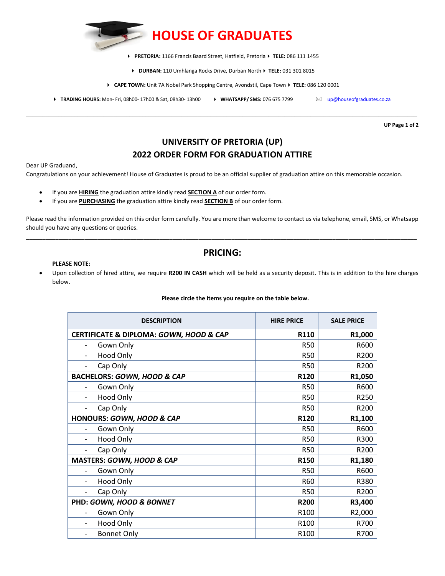

▶ PRETORIA: 1166 Francis Baard Street, Hatfield, Pretoria ▶ TELE: 086 111 1455

- ▶ **DURBAN:** 110 Umhlanga Rocks Drive, Durban North ▶ TELE: 031 301 8015
- **▶ CAPE TOWN:** Unit 7A Nobel Park Shopping Centre, Avondstil, Cape Town ▶ TELE: 086 120 0001
- **FRADING HOURS:** Mon- Fri, 08h00- 17h00 & Sat, 08h30- 13h00  **WHATSAPP/ SMS:** 076 675 7799 Wowendres.co.za

\_\_\_\_\_\_\_\_\_\_\_\_\_\_\_\_\_\_\_\_\_\_\_\_\_\_\_\_\_\_\_\_\_\_\_\_\_\_\_\_\_\_\_\_\_\_\_\_\_\_\_\_\_\_\_\_\_\_\_\_\_\_\_\_\_\_\_\_\_\_\_\_\_\_\_\_\_\_\_\_\_\_\_\_\_\_\_\_\_\_\_\_\_\_\_\_\_\_\_\_\_\_\_\_\_\_\_\_\_\_\_\_\_\_\_\_\_\_\_\_\_

**UP Page 1 of 2**

# **UNIVERSITY OF PRETORIA (UP) 2022 ORDER FORM FOR GRADUATION ATTIRE**

Dear UP Graduand,

Congratulations on your achievement! House of Graduates is proud to be an official supplier of graduation attire on this memorable occasion.

- If you are **HIRING** the graduation attire kindly read **SECTION A** of our order form.
- If you are **PURCHASING** the graduation attire kindly read **SECTION B** of our order form.

Please read the information provided on this order form carefully. You are more than welcome to contact us via telephone, email, SMS, or Whatsapp should you have any questions or queries. **\_\_\_\_\_\_\_\_\_\_\_\_\_\_\_\_\_\_\_\_\_\_\_\_\_\_\_\_\_\_\_\_\_\_\_\_\_\_\_\_\_\_\_\_\_\_\_\_\_\_\_\_\_\_\_\_\_\_\_\_\_\_\_\_\_\_\_\_\_\_\_\_\_\_\_\_\_\_\_\_\_\_\_\_\_\_\_\_\_\_\_\_\_\_\_\_\_\_\_\_\_\_\_\_\_\_\_\_\_\_\_\_\_\_\_\_\_\_\_\_**

### **PRICING:**

### **PLEASE NOTE:**

• Upon collection of hired attire, we require **R200 IN CASH** which will be held as a security deposit. This is in addition to the hire charges below.

#### **Please circle the items you require on the table below.**

| <b>DESCRIPTION</b>                      | <b>HIRE PRICE</b> | <b>SALE PRICE</b>   |
|-----------------------------------------|-------------------|---------------------|
| CERTIFICATE & DIPLOMA: GOWN, HOOD & CAP | R110              | R1,000              |
| Gown Only<br>$\qquad \qquad -$          | <b>R50</b>        | R600                |
| <b>Hood Only</b>                        | <b>R50</b>        | R200                |
| Cap Only<br>$\qquad \qquad -$           | <b>R50</b>        | R200                |
| <b>BACHELORS: GOWN, HOOD &amp; CAP</b>  | R120              | R1,050              |
| Gown Only                               | <b>R50</b>        | R600                |
| Hood Only<br>$\overline{\phantom{0}}$   | <b>R50</b>        | R250                |
| Cap Only                                | <b>R50</b>        | R200                |
| HONOURS: GOWN, HOOD & CAP               | R120              | R1,100              |
| Gown Only                               | <b>R50</b>        | R600                |
| <b>Hood Only</b><br>$\qquad \qquad -$   | <b>R50</b>        | R300                |
| Cap Only                                | <b>R50</b>        | R200                |
| MASTERS: GOWN, HOOD & CAP               | R150              | R1,180              |
| Gown Only                               | <b>R50</b>        | R600                |
| <b>Hood Only</b>                        | R60               | R380                |
| Cap Only<br>$\qquad \qquad -$           | <b>R50</b>        | R200                |
| PHD: GOWN, HOOD & BONNET                | <b>R200</b>       | R3,400              |
| Gown Only                               | R <sub>100</sub>  | R <sub>2</sub> ,000 |
| <b>Hood Only</b>                        | R100              | R700                |
| <b>Bonnet Only</b>                      | R100              | R700                |